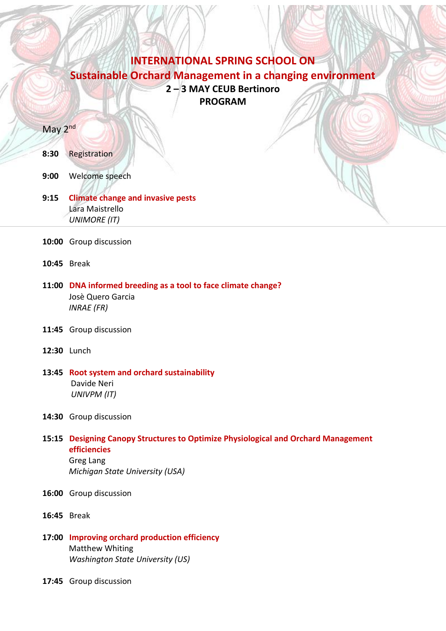# **INTERNATIONAL SPRING SCHOOL ON Sustainable Orchard Management in a changing environment 2 – 3 MAY CEUB Bertinoro PROGRAM**

#### May 2<sup>nd</sup>

#### **8:30** Registration

- **9:00** Welcome speech
- **9:15 Climate change and invasive pests** Lara Maistrello  *UNIMORE (IT)*
- **10:00** Group discussion
- **10:45** Break
- **11:00 DNA informed breeding as a tool to face climate change?** Josè Quero Garcia  *INRAE (FR)*
- **11:45** Group discussion
- **12:30** Lunch
- **13:45 Root system and orchard sustainability** Davide Neri  *UNIVPM (IT)*
- **14:30** Group discussion

### **15:15 Designing Canopy Structures to Optimize Physiological and Orchard Management efficiencies** Greg Lang

*Michigan State University (USA)*

- **16:00** Group discussion
- **16:45** Break
- **17:00 Improving orchard production efficiency** Matthew Whiting *Washington State University (US)*
- **17:45** Group discussion